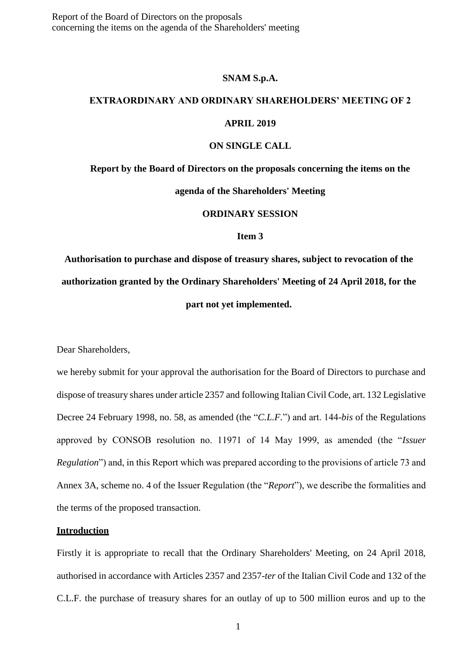Report of the Board of Directors on the proposals concerning the items on the agenda of the Shareholders' meeting

#### **SNAM S.p.A.**

# **EXTRAORDINARY AND ORDINARY SHAREHOLDERS' MEETING OF 2 APRIL 2019**

#### **ON SINGLE CALL**

**Report by the Board of Directors on the proposals concerning the items on the** 

**agenda of the Shareholders' Meeting**

#### **ORDINARY SESSION**

**Item 3**

**Authorisation to purchase and dispose of treasury shares, subject to revocation of the authorization granted by the Ordinary Shareholders' Meeting of 24 April 2018, for the part not yet implemented.**

Dear Shareholders,

we hereby submit for your approval the authorisation for the Board of Directors to purchase and dispose of treasury shares under article 2357 and following Italian Civil Code, art. 132 Legislative Decree 24 February 1998, no. 58, as amended (the "*C.L.F.*") and art. 144-*bis* of the Regulations approved by CONSOB resolution no. 11971 of 14 May 1999, as amended (the "*Issuer Regulation*") and, in this Report which was prepared according to the provisions of article 73 and Annex 3A, scheme no. 4 of the Issuer Regulation (the "*Report*"), we describe the formalities and the terms of the proposed transaction.

#### **Introduction**

Firstly it is appropriate to recall that the Ordinary Shareholders' Meeting, on 24 April 2018, authorised in accordance with Articles 2357 and 2357-*ter* of the Italian Civil Code and 132 of the C.L.F. the purchase of treasury shares for an outlay of up to 500 million euros and up to the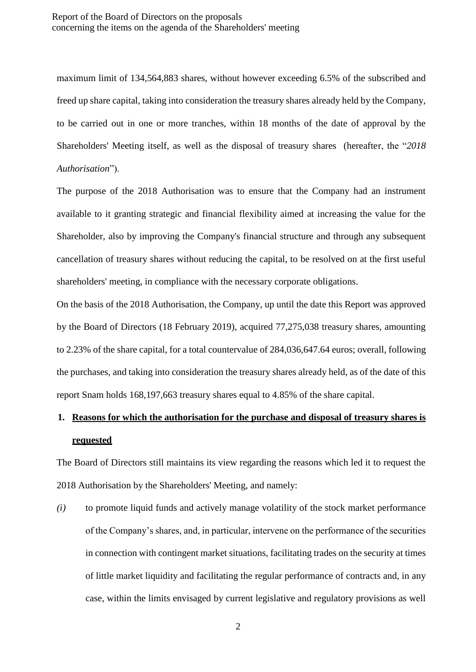#### Report of the Board of Directors on the proposals concerning the items on the agenda of the Shareholders' meeting

maximum limit of 134,564,883 shares, without however exceeding 6.5% of the subscribed and freed up share capital, taking into consideration the treasury shares already held by the Company, to be carried out in one or more tranches, within 18 months of the date of approval by the Shareholders' Meeting itself, as well as the disposal of treasury shares (hereafter, the "*2018 Authorisation*").

The purpose of the 2018 Authorisation was to ensure that the Company had an instrument available to it granting strategic and financial flexibility aimed at increasing the value for the Shareholder, also by improving the Company's financial structure and through any subsequent cancellation of treasury shares without reducing the capital, to be resolved on at the first useful shareholders' meeting, in compliance with the necessary corporate obligations.

On the basis of the 2018 Authorisation, the Company, up until the date this Report was approved by the Board of Directors (18 February 2019), acquired 77,275,038 treasury shares, amounting to 2.23% of the share capital, for a total countervalue of 284,036,647.64 euros; overall, following the purchases, and taking into consideration the treasury shares already held, as of the date of this report Snam holds 168,197,663 treasury shares equal to 4.85% of the share capital.

## **1. Reasons for which the authorisation for the purchase and disposal of treasury shares is requested**

The Board of Directors still maintains its view regarding the reasons which led it to request the 2018 Authorisation by the Shareholders' Meeting, and namely:

*(i)* to promote liquid funds and actively manage volatility of the stock market performance of the Company's shares, and, in particular, intervene on the performance of the securities in connection with contingent market situations, facilitating trades on the security at times of little market liquidity and facilitating the regular performance of contracts and, in any case, within the limits envisaged by current legislative and regulatory provisions as well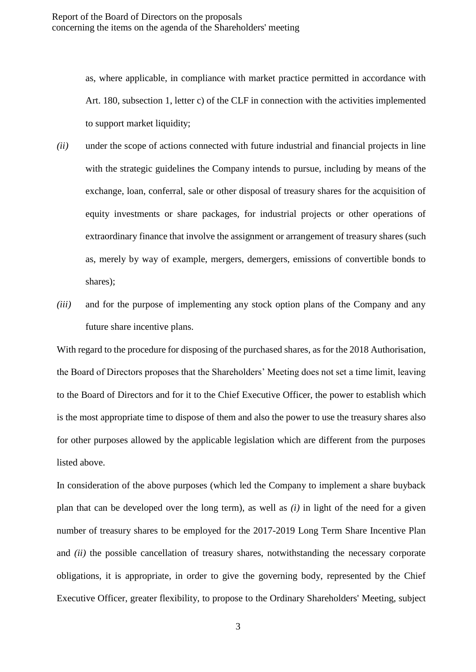as, where applicable, in compliance with market practice permitted in accordance with Art. 180, subsection 1, letter c) of the CLF in connection with the activities implemented to support market liquidity;

- *(ii)* under the scope of actions connected with future industrial and financial projects in line with the strategic guidelines the Company intends to pursue, including by means of the exchange, loan, conferral, sale or other disposal of treasury shares for the acquisition of equity investments or share packages, for industrial projects or other operations of extraordinary finance that involve the assignment or arrangement of treasury shares (such as, merely by way of example, mergers, demergers, emissions of convertible bonds to shares);
- *(iii)* and for the purpose of implementing any stock option plans of the Company and any future share incentive plans.

With regard to the procedure for disposing of the purchased shares, as for the 2018 Authorisation, the Board of Directors proposes that the Shareholders' Meeting does not set a time limit, leaving to the Board of Directors and for it to the Chief Executive Officer, the power to establish which is the most appropriate time to dispose of them and also the power to use the treasury shares also for other purposes allowed by the applicable legislation which are different from the purposes listed above.

In consideration of the above purposes (which led the Company to implement a share buyback plan that can be developed over the long term), as well as *(i)* in light of the need for a given number of treasury shares to be employed for the 2017-2019 Long Term Share Incentive Plan and *(ii)* the possible cancellation of treasury shares, notwithstanding the necessary corporate obligations, it is appropriate, in order to give the governing body, represented by the Chief Executive Officer, greater flexibility, to propose to the Ordinary Shareholders' Meeting, subject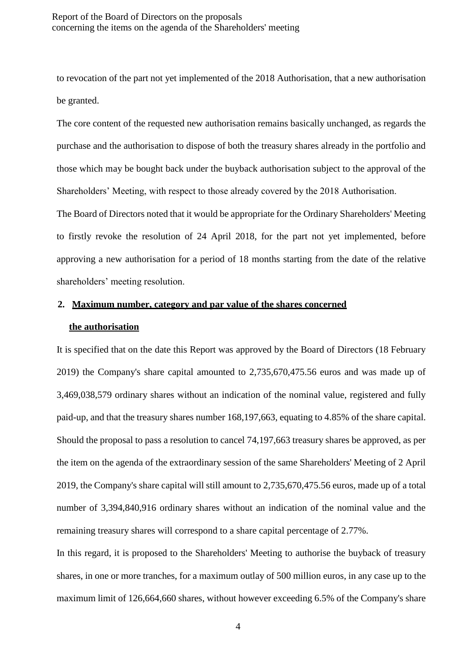to revocation of the part not yet implemented of the 2018 Authorisation, that a new authorisation be granted.

The core content of the requested new authorisation remains basically unchanged, as regards the purchase and the authorisation to dispose of both the treasury shares already in the portfolio and those which may be bought back under the buyback authorisation subject to the approval of the Shareholders' Meeting, with respect to those already covered by the 2018 Authorisation.

The Board of Directors noted that it would be appropriate for the Ordinary Shareholders' Meeting to firstly revoke the resolution of 24 April 2018, for the part not yet implemented, before approving a new authorisation for a period of 18 months starting from the date of the relative shareholders' meeting resolution.

#### **2. Maximum number, category and par value of the shares concerned**

### **the authorisation**

It is specified that on the date this Report was approved by the Board of Directors (18 February 2019) the Company's share capital amounted to 2,735,670,475.56 euros and was made up of 3,469,038,579 ordinary shares without an indication of the nominal value, registered and fully paid-up, and that the treasury shares number 168,197,663, equating to 4.85% of the share capital. Should the proposal to pass a resolution to cancel 74,197,663 treasury shares be approved, as per the item on the agenda of the extraordinary session of the same Shareholders' Meeting of 2 April 2019, the Company's share capital will still amount to 2,735,670,475.56 euros, made up of a total number of 3,394,840,916 ordinary shares without an indication of the nominal value and the remaining treasury shares will correspond to a share capital percentage of 2.77%.

In this regard, it is proposed to the Shareholders' Meeting to authorise the buyback of treasury shares, in one or more tranches, for a maximum outlay of 500 million euros, in any case up to the maximum limit of 126,664,660 shares, without however exceeding 6.5% of the Company's share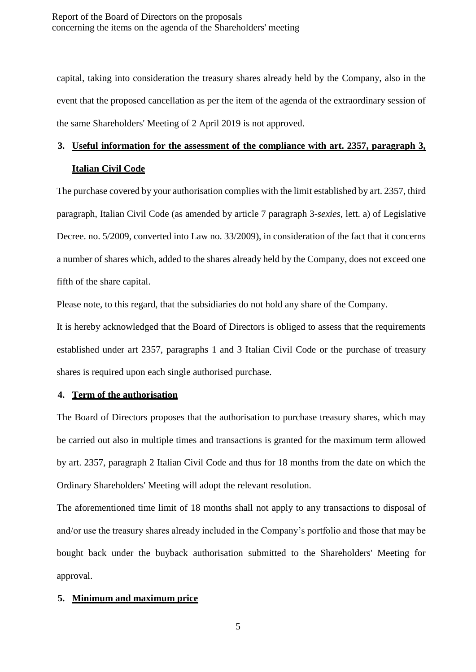capital, taking into consideration the treasury shares already held by the Company, also in the event that the proposed cancellation as per the item of the agenda of the extraordinary session of the same Shareholders' Meeting of 2 April 2019 is not approved.

### **3. Useful information for the assessment of the compliance with art. 2357, paragraph 3,**

#### **Italian Civil Code**

The purchase covered by your authorisation complies with the limit established by art. 2357, third paragraph, Italian Civil Code (as amended by article 7 paragraph 3-*sexies,* lett. a) of Legislative Decree. no. 5/2009, converted into Law no. 33/2009), in consideration of the fact that it concerns a number of shares which, added to the shares already held by the Company, does not exceed one fifth of the share capital.

Please note, to this regard, that the subsidiaries do not hold any share of the Company.

It is hereby acknowledged that the Board of Directors is obliged to assess that the requirements established under art 2357, paragraphs 1 and 3 Italian Civil Code or the purchase of treasury shares is required upon each single authorised purchase.

#### **4. Term of the authorisation**

The Board of Directors proposes that the authorisation to purchase treasury shares, which may be carried out also in multiple times and transactions is granted for the maximum term allowed by art. 2357, paragraph 2 Italian Civil Code and thus for 18 months from the date on which the Ordinary Shareholders' Meeting will adopt the relevant resolution.

The aforementioned time limit of 18 months shall not apply to any transactions to disposal of and/or use the treasury shares already included in the Company's portfolio and those that may be bought back under the buyback authorisation submitted to the Shareholders' Meeting for approval.

#### **5. Minimum and maximum price**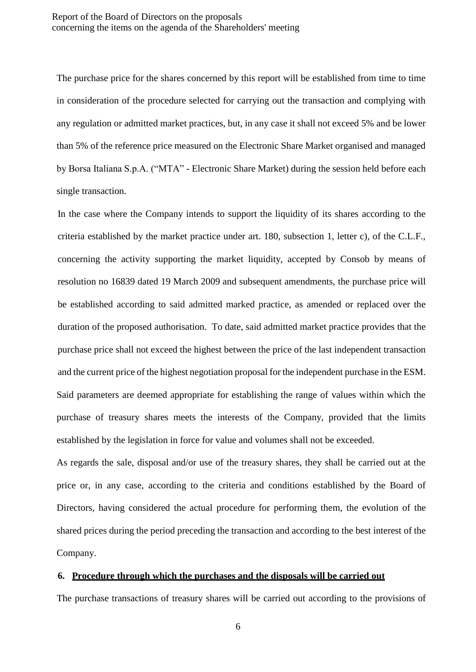The purchase price for the shares concerned by this report will be established from time to time in consideration of the procedure selected for carrying out the transaction and complying with any regulation or admitted market practices, but, in any case it shall not exceed 5% and be lower than 5% of the reference price measured on the Electronic Share Market organised and managed by Borsa Italiana S.p.A. ("MTA" - Electronic Share Market) during the session held before each single transaction.

In the case where the Company intends to support the liquidity of its shares according to the criteria established by the market practice under art. 180, subsection 1, letter c), of the C.L.F., concerning the activity supporting the market liquidity, accepted by Consob by means of resolution no 16839 dated 19 March 2009 and subsequent amendments, the purchase price will be established according to said admitted marked practice, as amended or replaced over the duration of the proposed authorisation. To date, said admitted market practice provides that the purchase price shall not exceed the highest between the price of the last independent transaction and the current price of the highest negotiation proposal for the independent purchase in the ESM. Said parameters are deemed appropriate for establishing the range of values within which the purchase of treasury shares meets the interests of the Company, provided that the limits established by the legislation in force for value and volumes shall not be exceeded.

As regards the sale, disposal and/or use of the treasury shares, they shall be carried out at the price or, in any case, according to the criteria and conditions established by the Board of Directors, having considered the actual procedure for performing them, the evolution of the shared prices during the period preceding the transaction and according to the best interest of the Company.

### **6. Procedure through which the purchases and the disposals will be carried out**

The purchase transactions of treasury shares will be carried out according to the provisions of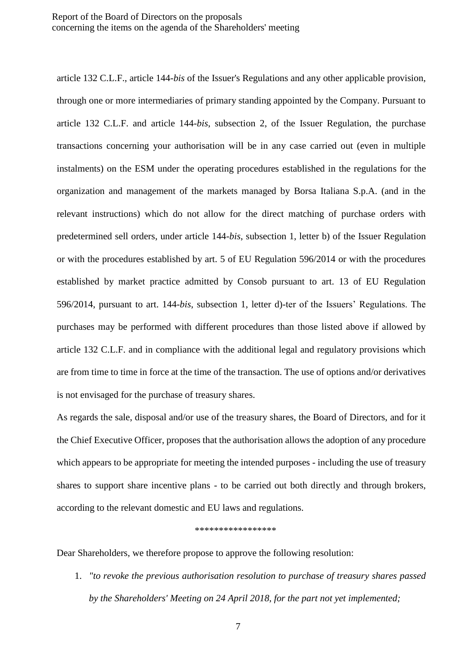article 132 C.L.F., article 144-*bis* of the Issuer's Regulations and any other applicable provision, through one or more intermediaries of primary standing appointed by the Company. Pursuant to article 132 C.L.F. and article 144-*bis*, subsection 2, of the Issuer Regulation, the purchase transactions concerning your authorisation will be in any case carried out (even in multiple instalments) on the ESM under the operating procedures established in the regulations for the organization and management of the markets managed by Borsa Italiana S.p.A. (and in the relevant instructions) which do not allow for the direct matching of purchase orders with predetermined sell orders, under article 144-*bis*, subsection 1, letter b) of the Issuer Regulation or with the procedures established by art. 5 of EU Regulation 596/2014 or with the procedures established by market practice admitted by Consob pursuant to art. 13 of EU Regulation 596/2014, pursuant to art. 144-*bis*, subsection 1, letter d)-ter of the Issuers' Regulations. The purchases may be performed with different procedures than those listed above if allowed by article 132 C.L.F. and in compliance with the additional legal and regulatory provisions which are from time to time in force at the time of the transaction. The use of options and/or derivatives is not envisaged for the purchase of treasury shares.

As regards the sale, disposal and/or use of the treasury shares, the Board of Directors, and for it the Chief Executive Officer, proposes that the authorisation allows the adoption of any procedure which appears to be appropriate for meeting the intended purposes - including the use of treasury shares to support share incentive plans - to be carried out both directly and through brokers, according to the relevant domestic and EU laws and regulations.

#### \*\*\*\*\*\*\*\*\*\*\*\*\*\*\*\*\*

Dear Shareholders, we therefore propose to approve the following resolution:

1. *"to revoke the previous authorisation resolution to purchase of treasury shares passed by the Shareholders' Meeting on 24 April 2018, for the part not yet implemented;*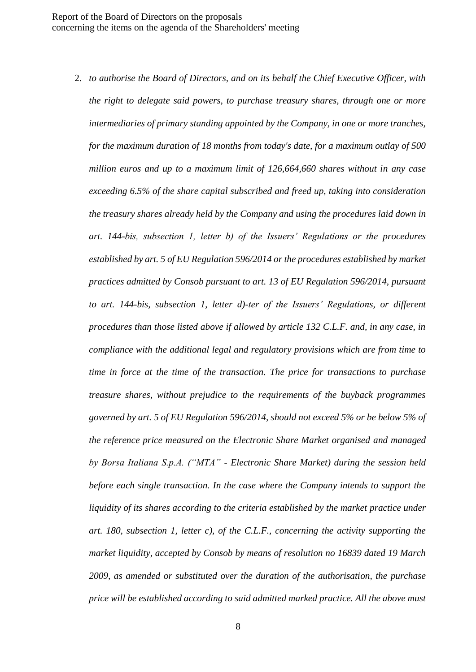2. *to authorise the Board of Directors, and on its behalf the Chief Executive Officer, with the right to delegate said powers, to purchase treasury shares, through one or more intermediaries of primary standing appointed by the Company, in one or more tranches, for the maximum duration of 18 months from today's date, for a maximum outlay of 500 million euros and up to a maximum limit of 126,664,660 shares without in any case exceeding 6.5% of the share capital subscribed and freed up, taking into consideration the treasury shares already held by the Company and using the procedures laid down in art. 144-bis, subsection 1, letter b) of the Issuers' Regulations or the procedures established by art. 5 of EU Regulation 596/2014 or the procedures established by market practices admitted by Consob pursuant to art. 13 of EU Regulation 596/2014, pursuant to art. 144-bis, subsection 1, letter d)-ter of the Issuers' Regulations, or different procedures than those listed above if allowed by article 132 C.L.F. and, in any case, in compliance with the additional legal and regulatory provisions which are from time to time in force at the time of the transaction. The price for transactions to purchase treasure shares, without prejudice to the requirements of the buyback programmes governed by art. 5 of EU Regulation 596/2014, should not exceed 5% or be below 5% of the reference price measured on the Electronic Share Market organised and managed by Borsa Italiana S.p.A. ("MTA" - Electronic Share Market) during the session held before each single transaction. In the case where the Company intends to support the liquidity of its shares according to the criteria established by the market practice under art. 180, subsection 1, letter c), of the C.L.F., concerning the activity supporting the market liquidity, accepted by Consob by means of resolution no 16839 dated 19 March 2009, as amended or substituted over the duration of the authorisation, the purchase price will be established according to said admitted marked practice. All the above must*